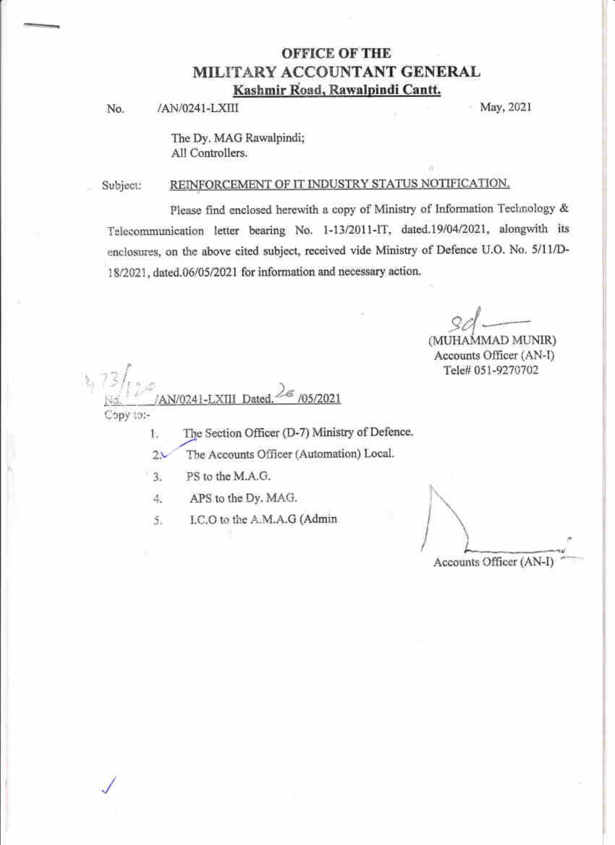## **OFFICE OF THE** MILITARY ACCOUNTANT GENERAL Kashmir Road, Rawalpindi Cantt.

/AN/0241-LXIII No.

May, 2021

The Dy. MAG Rawalpindi; All Controllers.

#### REINFORCEMENT OF IT INDUSTRY STATUS NOTIFICATION. Subject:

Please find enclosed herewith a copy of Ministry of Information Technology & Telecommunication letter bearing No. 1-13/2011-IT, dated.19/04/2021, alongwith its enclosures, on the above cited subject, received vide Ministry of Defence U.O. No. 5/11/D-18/2021, dated.06/05/2021 for information and necessary action.

(MUHAMMAD MUNIR) Accounts Officer (AN-I) Tele# 051-9270702

/05/2021 AN/0241-LXIII Dated

Copy to:-

The Section Officer (D-7) Ministry of Defence. 1.

The Accounts Officer (Automation) Local.  $2\lambda$ 

- $3.$ PS to the M.A.G.
- APS to the Dy. MAG. 4.

5. I.C.O to the A.M.A.G (Admin

Accounts Officer (AN-I)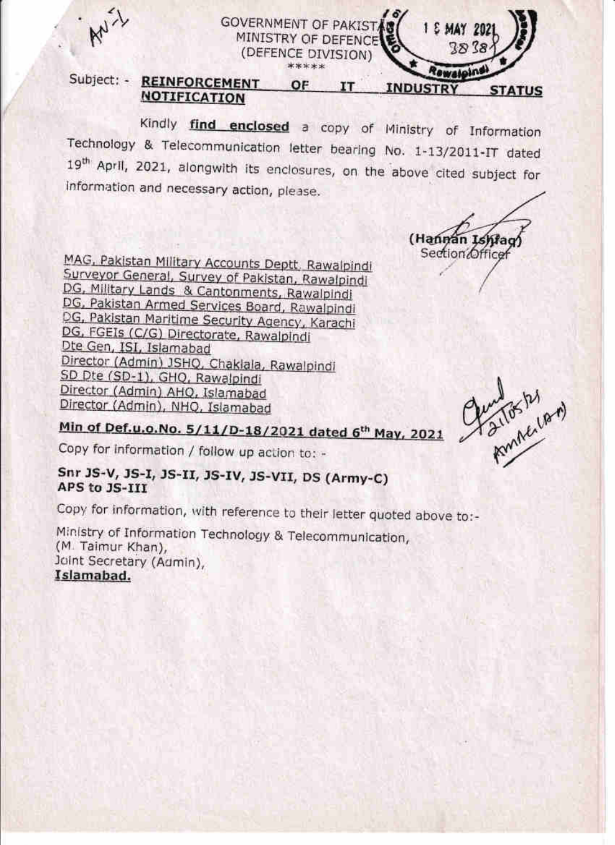

#### MINISTRY OF DEFENCE 7.R 7.8 (DEFENCE DIVISION) \*\*\*\*\* Rewateins Subject: - REINFORCEMENT **OF IT INDUSTRY STATUS NOTIFICATION**

Kindly find enclosed a copy of Ministry of Information Technology & Telecommunication letter bearing No. 1-13/2011-IT dated 19<sup>th</sup> April, 2021, alongwith its enclosures, on the above cited subject for information and necessary action, please.

**GOVERNMENT OF PAKIST/** 

(Hannan Ishfac Section Office

1 E MAY 202

MAG, Pakistan Military Accounts Deptt, Rawalpindi Surveyor General, Survey of Pakistan, Rawalpindi DG, Military Lands & Cantonments, Rawalpindi DG, Pakistan Armed Services Board, Rawalpindi DG, Pakistan Maritime Security Agency, Karachi DG, FGEIs (C/G) Directorate, Rawalpindi Dte Gen, ISI, Islamabad Director (Admin) JSHQ, Chaklala, Rawalpindi SD Dte (SD-1), GHQ, Rawalpindi Director (Admin) AHQ, Islamabad Director (Admin), NHQ, Islamabad

Amilos by

Min of Def.u.o.No. 5/11/D-18/2021 dated 6th May, 2021

Copy for information / follow up action to: -

## Snr JS-V, JS-I, JS-II, JS-IV, JS-VII, DS (Army-C) APS to JS-III

Copy for information, with reference to their letter quoted above to:-

Ministry of Information Technology & Telecommunication, (M. Taimur Khan), Joint Secretary (Admin), Islamabad.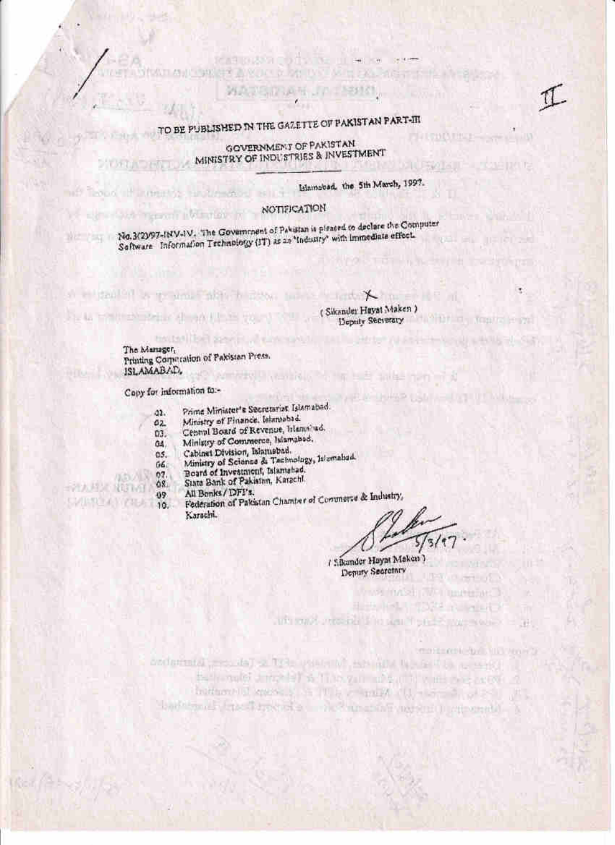# TO BE PUBLISHED IN THE GAZETTE OF PAKISTAN PART-III

tradination

GOVERNMENT OF PAKISTAN MINISTRY OF INDUSTRIES & INVESTMENT

Islamobad, the 5th March, 1997.

**LI COLA THEF** 

כיו וינו

**LIVE UP WELL** 

ak.

# NOTIFICATION

No.3(2)/97-INV-IV. The Government of Pakistan is pleased to declare the Computer Software Information Technology (IT) as an 'Industry' with immediate effect.

to the line agent of concern to the lines

A suitable to the most fifted site. I have a light X (Sikander Hayat Maken) Deputy Secretary

> The Manager, Printing Corporation of Pakistan Press. ISLAMABAD, **MINERAL ARTICLE AND INCOME.**

Copy for information to :-

**STEALTH AND CONDUCT** 

lead if animates and menod is a

**College** 

**DAY NY THE** 

计人程 我们有

- Prime Minister's Secretarias Islamabad.  $22.$
- Ministry of Finance, Islamabad.  $a_{2}$
- Central Board of Revenue, Irlansinad.  $03.$
- Ministry of Commerce, Islamabod.  $04.$
- Cabinet Division, Islamsbad.  $05.$
- Ministry of Science & Tachnology, Jalentaliad.  $06.$
- Board of Investment, Islamabad. 07.
- State Bank of Pakistan, Karachi.  $08.$
- All Benks / DFI's. 09
- Federation of Pakistan Chamber of Commerce & Industry,  $5/10$ Karachi.

use implicit plan

/ Sikander Hayat Maken ) Deputy Secretary

when you get the contental process of the unique the second content is a contr bells and the latter than you when it was prepared thattacould know as a fill by compact the second set of barbanel fasci meride ale maniali agent a ciperali a

The sound processes the sign from